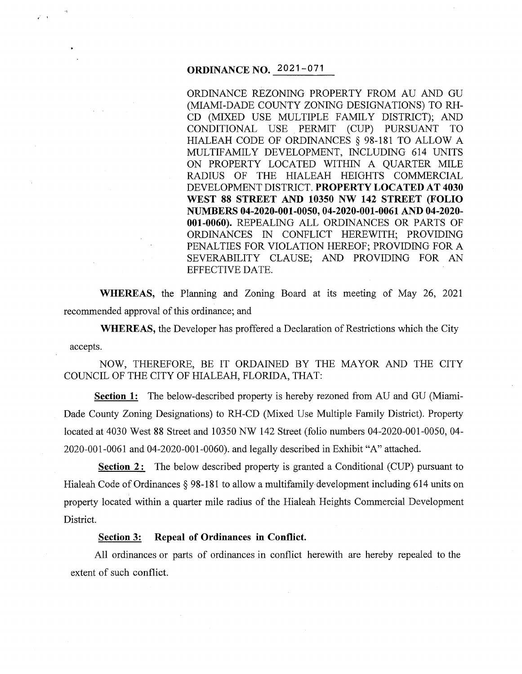# **ORDINANCE NO.** 2021-071

/ .

ORDINANCE REZONING PROPERTY FROM AU AND GU (MIAMI-DADE COUNTY ZONING DESIGNATIONS) TO RH-CD (MIXED USE MULTIPLE FAMILY DISTRICT); AND CONDITIONAL USE . PERMIT (CUP) PURSUANT TO HIALEAH CODE OF ORDINANCES§ 98-181 TO ALLOW A MULTIFAMILY DEVELOPMENT, INCLUDING 614 UNITS ON PROPERTY LOCATED WITHIN A QUARTER MILE RADIUS OF THE HIALEAH HEIGHTS COMMERCIAL DEVELOPMENT DISTRICT. **PROPERTY LOCATED AT 4030 WEST 88 STREET AND 10350 NW 142 STREET (FOLIO NUMBERS 04-2020-001-0050, 04-2020-001-0061AND04-2020- 001-0060).** REPEALING ALL ORDINANCES OR PARTS OF ORDINANCES IN CONFLICT HEREWITH; PROVIDING PENALTIES FOR VIOLATION HEREOF; PROVIDING FOR A SEVERABILITY CLAUSE; AND PROVIDING FOR AN EFFECTIVE DATE.

**WHEREAS,** the Planning and Zoning Board at its meeting of May 26, 2021 recommended approval of this ordinance; and

**WHEREAS,** the Developer has proffered a Declaration of Restrictions which the City accepts.

NOW, THEREFORE, BE IT ORDAINED BY THE MAYOR AND THE CITY COUNCIL OF THE CITY OF HIALEAH, FLORIDA, THAT:

**Section 1:** The below-described property is hereby rezoned from AU and GU (Miami-Dade County Zoning Designations) to RH-CD (Mixed Use Multiple Family District). Property located at 4030 West 88 Street and 10350 NW 142 Street (folio numbers 04-2020-001-0050, 04- 2020-001-0061 and 04-2020-001-0060). and legally described in Exhibit "A" attached.

**Section 2:** The below described property is granted a Conditional (CUP) pursuant to Hialeah Code of Ordinances § 98-181 to allow a multifamily development including 614 units on property located within a quarter mile radius of the Hialeah Heights Commercial Development District.

## **Section 3: Repeal of Ordinances in Conflict.**

All ordinances or parts of ordinances in conflict herewith are hereby repealed to the extent of such conflict.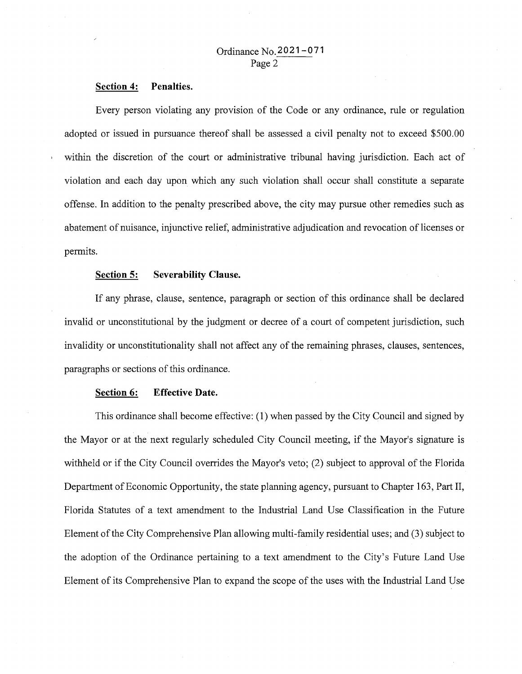### **Section 4: Penalties.**

Every person violating any provision of the Code or any ordinance, rule or regulation adopted or issued in pursuance thereof shall be assessed a civil penalty not to exceed \$500.00 within the discretion of the court or administrative tribunal having jurisdiction. Each act of violation and each day upon which any such violation shall occur shall constitute a separate offense. In addition to the penalty prescribed above, the city may pursue other remedies such as abatement of nuisance, injunctive relief, administrative adjudication and revocation of licenses or permits.

#### **Section 5: Severability Clause.**

If any phrase, clause, sentence, paragraph or section of this ordinance shall be declared invalid or unconstitutional by the judgment or decree of a court of competent jurisdiction, such invalidity or unconstitutionality shall not affect any of the remaining phrases, clauses, sentences, paragraphs or sections of this ordinance.

#### **Section 6: Effective Date.**

This ordinance shall become effective: (1) when passed by the City Council and signed by the Mayor or at the next regularly scheduled City Council meeting, if the Mayor's signature is withheld or if the City Council overrides the Mayor's veto; (2) subject to approval of the Florida Department of Economic Opportunity, the state planning agency, pursuant to Chapter 163, Part II, Florida Statutes of a text amendment to the Industrial Land Use Classification in the Future Element of the City Comprehensive Plan allowing multi-family residential uses; and (3) subject to the adoption of the Ordinance pertaining to a text amendment to the City's Future Land Use Element of its Comprehensive Plan to expand the scope of the uses with the Industrial Land Use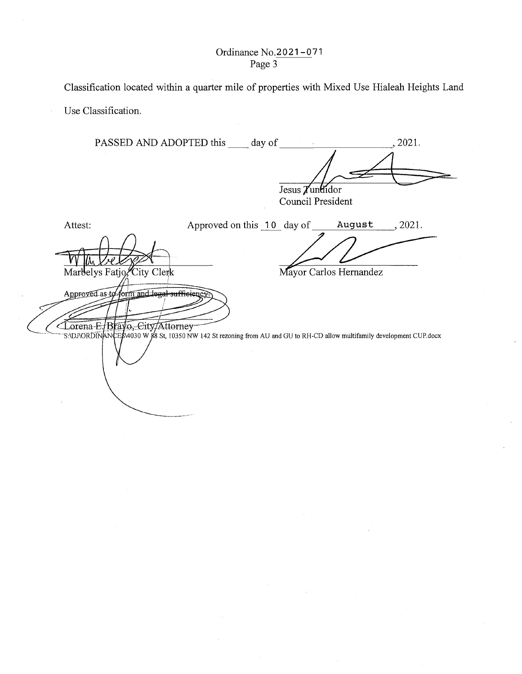Ordinance No.2021-071 Page 3

PASSED AND ADOPTED this day of , 2021. sus Tuntindor<br>
uncil President<br>
ay of August 2021.<br>
August 2021.  $\frac{4}{\sqrt{2}}$ Jesus *T*undidor Council President Attest: Approved on this 10 day of August, 2021. Marbelys Fatjo, City Clerk Mayor Carlos Hernandez Approved as to form and legal sufficient Corena-E-Brayo,-City/Attorney<br>S:DJVORDINANCE8\4030 W 88 St, 10350 NW 142 St rezoning from AU and GU to RH-CD allow multifamily development CUP.docx

\_\_\_\_\_ .. ,.-·•

Classification located within a quarter mile of properties with Mixed Use Hialeah Heights Land

Use Classification.